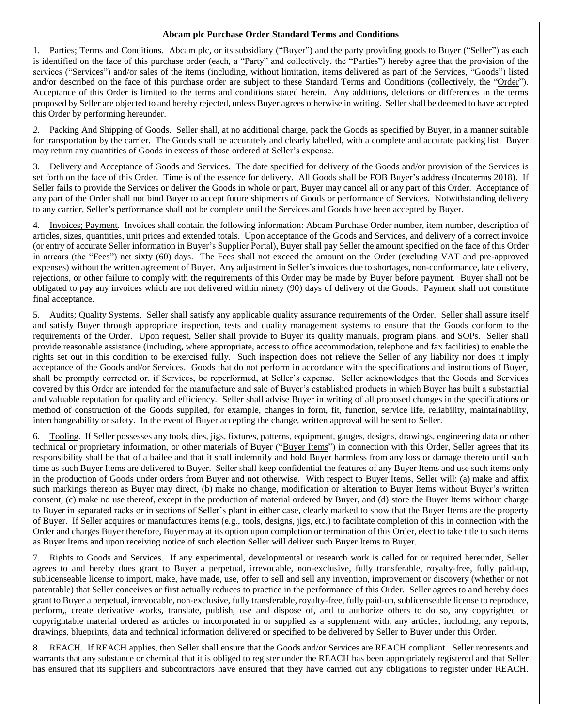## **Abcam plc Purchase Order Standard Terms and Conditions**

Parties; Terms and Conditions. Abcam plc, or its subsidiary ("Buyer") and the party providing goods to Buyer ("Seller") as each is identified on the face of this purchase order (each, a "Party" and collectively, the "Parties") hereby agree that the provision of the services ("Services") and/or sales of the items (including, without limitation, items delivered as part of the Services, "Goods") listed and/or described on the face of this purchase order are subject to these Standard Terms and Conditions (collectively, the "Order"). Acceptance of this Order is limited to the terms and conditions stated herein. Any additions, deletions or differences in the terms proposed by Seller are objected to and hereby rejected, unless Buyer agrees otherwise in writing. Seller shall be deemed to have accepted this Order by performing hereunder.

Packing And Shipping of Goods. Seller shall, at no additional charge, pack the Goods as specified by Buyer, in a manner suitable for transportation by the carrier. The Goods shall be accurately and clearly labelled, with a complete and accurate packing list. Buyer may return any quantities of Goods in excess of those ordered at Seller's expense.

3. Delivery and Acceptance of Goods and Services. The date specified for delivery of the Goods and/or provision of the Services is set forth on the face of this Order. Time is of the essence for delivery. All Goods shall be FOB Buyer's address (Incoterms 2018). If Seller fails to provide the Services or deliver the Goods in whole or part, Buyer may cancel all or any part of this Order. Acceptance of any part of the Order shall not bind Buyer to accept future shipments of Goods or performance of Services. Notwithstanding delivery to any carrier, Seller's performance shall not be complete until the Services and Goods have been accepted by Buyer.

4. Invoices; Payment. Invoices shall contain the following information: Abcam Purchase Order number, item number, description of articles, sizes, quantities, unit prices and extended totals. Upon acceptance of the Goods and Services, and delivery of a correct invoice (or entry of accurate Seller information in Buyer's Supplier Portal), Buyer shall pay Seller the amount specified on the face of this Order in arrears (the "Fees") net sixty (60) days. The Fees shall not exceed the amount on the Order (excluding VAT and pre-approved expenses) without the written agreement of Buyer. Any adjustment in Seller's invoices due to shortages, non-conformance, late delivery, rejections, or other failure to comply with the requirements of this Order may be made by Buyer before payment. Buyer shall not be obligated to pay any invoices which are not delivered within ninety (90) days of delivery of the Goods. Payment shall not constitute final acceptance.

5. Audits; Quality Systems. Seller shall satisfy any applicable quality assurance requirements of the Order. Seller shall assure itself and satisfy Buyer through appropriate inspection, tests and quality management systems to ensure that the Goods conform to the requirements of the Order. Upon request, Seller shall provide to Buyer its quality manuals, program plans, and SOPs. Seller shall provide reasonable assistance (including, where appropriate, access to office accommodation, telephone and fax facilities) to enable the rights set out in this condition to be exercised fully. Such inspection does not relieve the Seller of any liability nor does it imply acceptance of the Goods and/or Services. Goods that do not perform in accordance with the specifications and instructions of Buyer, shall be promptly corrected or, if Services, be reperformed, at Seller's expense. Seller acknowledges that the Goods and Services covered by this Order are intended for the manufacture and sale of Buyer's established products in which Buyer has built a substantial and valuable reputation for quality and efficiency. Seller shall advise Buyer in writing of all proposed changes in the specifications or method of construction of the Goods supplied, for example, changes in form, fit, function, service life, reliability, maintainability, interchangeability or safety. In the event of Buyer accepting the change, written approval will be sent to Seller.

6. Tooling. If Seller possesses any tools, dies, jigs, fixtures, patterns, equipment, gauges, designs, drawings, engineering data or other technical or proprietary information, or other materials of Buyer ("Buyer Items") in connection with this Order, Seller agrees that its responsibility shall be that of a bailee and that it shall indemnify and hold Buyer harmless from any loss or damage thereto until such time as such Buyer Items are delivered to Buyer. Seller shall keep confidential the features of any Buyer Items and use such items only in the production of Goods under orders from Buyer and not otherwise. With respect to Buyer Items, Seller will: (a) make and affix such markings thereon as Buyer may direct, (b) make no change, modification or alteration to Buyer Items without Buyer's written consent, (c) make no use thereof, except in the production of material ordered by Buyer, and (d) store the Buyer Items without charge to Buyer in separated racks or in sections of Seller's plant in either case, clearly marked to show that the Buyer Items are the property of Buyer. If Seller acquires or manufactures items (e.g., tools, designs, jigs, etc.) to facilitate completion of this in connection with the Order and charges Buyer therefore, Buyer may at its option upon completion or termination of this Order, elect to take title to such items as Buyer Items and upon receiving notice of such election Seller will deliver such Buyer Items to Buyer.

7. Rights to Goods and Services. If any experimental, developmental or research work is called for or required hereunder, Seller agrees to and hereby does grant to Buyer a perpetual, irrevocable, non-exclusive, fully transferable, royalty-free, fully paid-up, sublicenseable license to import, make, have made, use, offer to sell and sell any invention, improvement or discovery (whether or not patentable) that Seller conceives or first actually reduces to practice in the performance of this Order. Seller agrees to and hereby does grant to Buyer a perpetual, irrevocable, non-exclusive, fully transferable, royalty-free, fully paid-up, sublicenseable license to reproduce, perform,, create derivative works, translate, publish, use and dispose of, and to authorize others to do so, any copyrighted or copyrightable material ordered as articles or incorporated in or supplied as a supplement with, any articles, including, any reports, drawings, blueprints, data and technical information delivered or specified to be delivered by Seller to Buyer under this Order.

8. REACH. If REACH applies, then Seller shall ensure that the Goods and/or Services are REACH compliant. Seller represents and warrants that any substance or chemical that it is obliged to register under the REACH has been appropriately registered and that Seller has ensured that its suppliers and subcontractors have ensured that they have carried out any obligations to register under REACH.